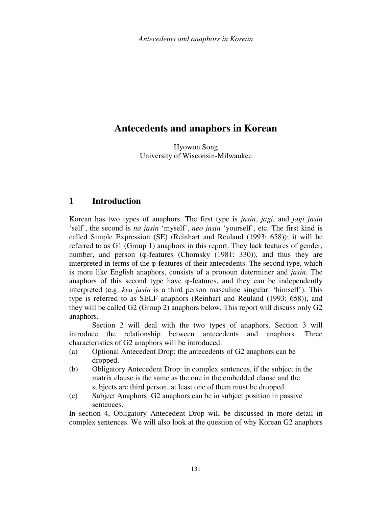# **Antecedents and anaphors in Korean**

Hyowon Song University of Wisconsin-Milwaukee

## **1 Introduction**

Korean has two types of anaphors. The first type is *jasin*, *jagi*, and *jagi jasin* 'self', the second is *na jasin* 'myself', *neo jasin* 'yourself', etc. The first kind is called Simple Expression (SE) (Reinhart and Reuland (1993: 658)); it will be referred to as G1 (Group 1) anaphors in this report. They lack features of gender, number, and person (φ-features (Chomsky (1981: 330)), and thus they are interpreted in terms of the φ-features of their antecedents. The second type, which is more like English anaphors, consists of a pronoun determiner and *jasin*. The anaphors of this second type have φ-features, and they can be independently interpreted (e.g. *keu jasin* is a third person masculine singular: 'himself'). This type is referred to as SELF anaphors (Reinhart and Reuland (1993: 658)), and they will be called G2 (Group 2) anaphors below. This report will discuss only G2 anaphors.

 Section 2 will deal with the two types of anaphors. Section 3 will introduce the relationship between antecedents and anaphors. Three characteristics of G2 anaphors will be introduced:

- (a) Optional Antecedent Drop: the antecedents of G2 anaphors can be dropped.
- (b) Obligatory Antecedent Drop: in complex sentences, if the subject in the matrix clause is the same as the one in the embedded clause and the subjects are third person, at least one of them must be dropped.
- (c) Subject Anaphors: G2 anaphors can be in subject position in passive sentences.

In section 4, Obligatory Antecedent Drop will be discussed in more detail in complex sentences. We will also look at the question of why Korean G2 anaphors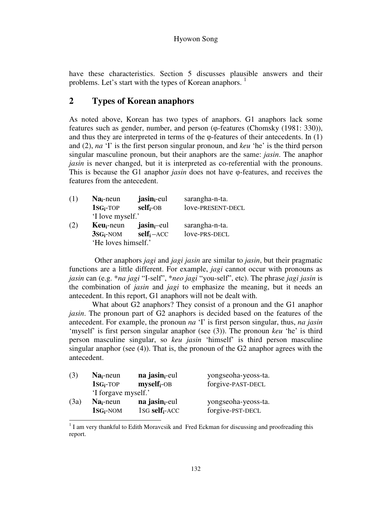have these characteristics. Section 5 discusses plausible answers and their problems. Let's start with the types of Korean anaphors.<sup>1</sup>

## **2 Types of Korean anaphors**

As noted above, Korean has two types of anaphors. G1 anaphors lack some features such as gender, number, and person (φ-features (Chomsky (1981: 330)), and thus they are interpreted in terms of the  $\varphi$ -features of their antecedents. In (1) and (2), *na* 'I' is the first person singular pronoun, and *keu* 'he' is the third person singular masculine pronoun, but their anaphors are the same: *jasin*. The anaphor *jasin* is never changed, but it is interpreted as co-referential with the pronouns. This is because the G1 anaphor *jasin* does not have φ-features, and receives the features from the antecedent.

| (1) | $Nai$ -neun         | jasin <sub>i</sub> -eul | sarangha-n-ta.    |  |
|-----|---------------------|-------------------------|-------------------|--|
|     | $1SG_i$ -TOP        | $self_i$ -OB            | love-PRESENT-DECL |  |
|     | 'I love myself.'    |                         |                   |  |
| (2) | $Keu_i$ -neun       | jasin <sub>i</sub> -eul | sarangha-n-ta.    |  |
|     | $3SG_i$ -NOM        | $self_i - ACC$          | love-PRS-DECL     |  |
|     | 'He loves himself.' |                         |                   |  |

Other anaphors *jagi* and *jagi jasin* are similar to *jasin*, but their pragmatic functions are a little different. For example, *jagi* cannot occur with pronouns as *jasin* can (e.g. \**na jagi* "I-self", \**neo jagi* "you-self", etc). The phrase *jagi jasin* is the combination of *jasin* and *jagi* to emphasize the meaning, but it needs an antecedent. In this report, G1 anaphors will not be dealt with.

 What about G2 anaphors? They consist of a pronoun and the G1 anaphor *jasin*. The pronoun part of G2 anaphors is decided based on the features of the antecedent. For example, the pronoun *na* 'I' is first person singular, thus, *na jasin* 'myself' is first person singular anaphor (see (3)). The pronoun *keu* 'he' is third person masculine singular, so *keu jasin* 'himself' is third person masculine singular anaphor (see (4)). That is, the pronoun of the G2 anaphor agrees with the antecedent.

| (3)  | $Nai$ -neun         | na jasin <sub>i</sub> -eul    | yongseoha-yeoss-ta. |  |  |
|------|---------------------|-------------------------------|---------------------|--|--|
|      | $1sG_i$ -TOP        | $myself_i-OB$                 | forgive-PAST-DECL   |  |  |
|      | 'I forgave myself.' |                               |                     |  |  |
| (3a) | $Nai$ -neun         | na jasin <sub>i</sub> -eul    | yongseoha-yeoss-ta. |  |  |
|      | $1SG_i$ -NOM        | $1$ SG self <sub>i</sub> -ACC | forgive-PST-DECL    |  |  |

<sup>&</sup>lt;sup>1</sup> I am very thankful to Edith Moravcsik and Fred Eckman for discussing and proofreading this report.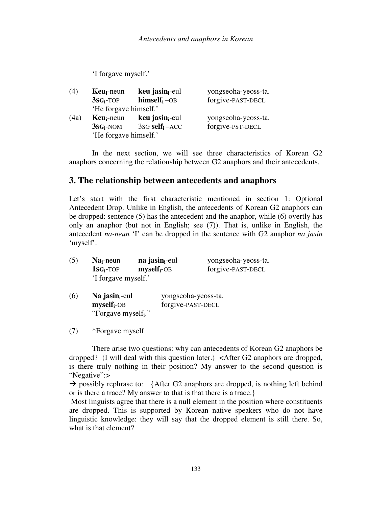'I forgave myself.'

| (4)  | $Keu_i$ -neun         | $keu$ jasin <sub>i-eul</sub>       | yongseoha-yeoss-ta. |  |
|------|-----------------------|------------------------------------|---------------------|--|
|      | $3SGi-TOP$            | $himself_i -OB$                    | forgive-PAST-DECL   |  |
|      | 'He forgave himself.' |                                    |                     |  |
| (4a) | $Keu_i$ -neun         | $keu$ jasin <sub>i-eul</sub>       | yongseoha-yeoss-ta. |  |
|      | $3SG_i$ -NOM          | $3$ s $G$ self <sub>i</sub> $-ACC$ | forgive-PST-DECL    |  |
|      | 'He forgave himself.' |                                    |                     |  |

In the next section, we will see three characteristics of Korean G2 anaphors concerning the relationship between G2 anaphors and their antecedents.

## **3. The relationship between antecedents and anaphors**

Let's start with the first characteristic mentioned in section 1: Optional Antecedent Drop. Unlike in English, the antecedents of Korean G2 anaphors can be dropped: sentence (5) has the antecedent and the anaphor, while (6) overtly has only an anaphor (but not in English; see (7)). That is, unlike in English, the antecedent *na-neun* 'I' can be dropped in the sentence with G2 anaphor *na jasin* 'myself'.

| (5) | $Nai$ -neun         | na jasin <sub>i</sub> -eul | yongseoha-yeoss-ta. |  |  |
|-----|---------------------|----------------------------|---------------------|--|--|
|     | $1sG_i$ -TOP        | $myself_i$ -OB             | forgive-PAST-DECL   |  |  |
|     | 'I forgave myself.' |                            |                     |  |  |

(6) **Na jasini**-eul yongseoha-yeoss-ta. **myselfi**-OB forgive-PAST-DECL "Forgave myself<sub>i</sub>."

(7) \*Forgave myself

There arise two questions: why can antecedents of Korean G2 anaphors be dropped? (I will deal with this question later.) <After G2 anaphors are dropped, is there truly nothing in their position? My answer to the second question is "Negative":>

 $\rightarrow$  possibly rephrase to: {After G2 anaphors are dropped, is nothing left behind or is there a trace? My answer to that is that there is a trace.}

 Most linguists agree that there is a null element in the position where constituents are dropped. This is supported by Korean native speakers who do not have linguistic knowledge: they will say that the dropped element is still there. So, what is that element?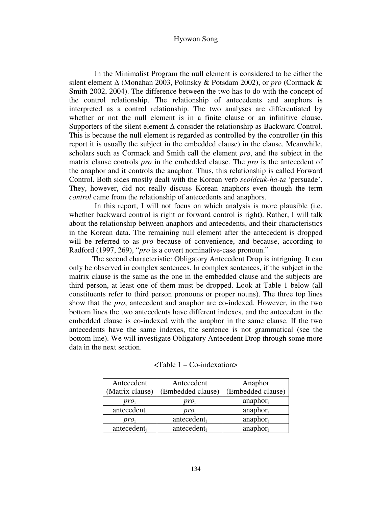In the Minimalist Program the null element is considered to be either the silent element ∆ (Monahan 2003, Polinsky & Potsdam 2002), or *pro* (Cormack & Smith 2002, 2004). The difference between the two has to do with the concept of the control relationship. The relationship of antecedents and anaphors is interpreted as a control relationship. The two analyses are differentiated by whether or not the null element is in a finite clause or an infinitive clause. Supporters of the silent element  $\Delta$  consider the relationship as Backward Control. This is because the null element is regarded as controlled by the controller (in this report it is usually the subject in the embedded clause) in the clause. Meanwhile, scholars such as Cormack and Smith call the element *pro*, and the subject in the matrix clause controls *pro* in the embedded clause. The *pro* is the antecedent of the anaphor and it controls the anaphor. Thus, this relationship is called Forward Control. Both sides mostly dealt with the Korean verb *seoldeuk-ha-ta* 'persuade'. They, however, did not really discuss Korean anaphors even though the term *control* came from the relationship of antecedents and anaphors.

In this report, I will not focus on which analysis is more plausible (i.e. whether backward control is right or forward control is right). Rather, I will talk about the relationship between anaphors and antecedents, and their characteristics in the Korean data. The remaining null element after the antecedent is dropped will be referred to as *pro* because of convenience, and because, according to Radford (1997, 269), "*pro* is a covert nominative-case pronoun."

The second characteristic: Obligatory Antecedent Drop is intriguing. It can only be observed in complex sentences. In complex sentences, if the subject in the matrix clause is the same as the one in the embedded clause and the subjects are third person, at least one of them must be dropped. Look at Table 1 below (all constituents refer to third person pronouns or proper nouns). The three top lines show that the *pro*, antecedent and anaphor are co-indexed. However, in the two bottom lines the two antecedents have different indexes, and the antecedent in the embedded clause is co-indexed with the anaphor in the same clause. If the two antecedents have the same indexes, the sentence is not grammatical (see the bottom line). We will investigate Obligatory Antecedent Drop through some more data in the next section.

| Antecedent      | Antecedent        | Anaphor              |
|-----------------|-------------------|----------------------|
| (Matrix clause) | (Embedded clause) | (Embedded clause)    |
| proi            | proi              | $anaphor_i$          |
| antecedent      | $pro_i$           | anaphor <sub>i</sub> |
| proi            | antecedenti       | anaphor <sub>i</sub> |
| antecedenti     | antecedenti       | anaphor <sub>i</sub> |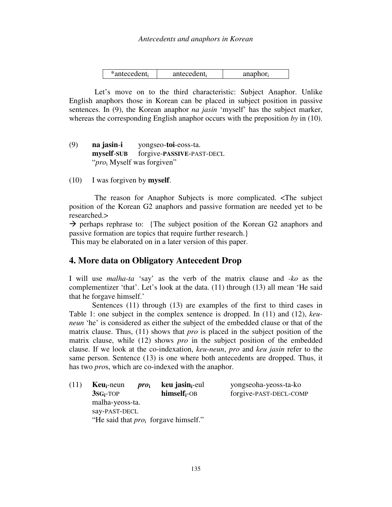| $*$ antecedent <sub>i</sub><br>antecedent | anaphor |
|-------------------------------------------|---------|
|-------------------------------------------|---------|

Let's move on to the third characteristic: Subject Anaphor. Unlike English anaphors those in Korean can be placed in subject position in passive sentences. In (9), the Korean anaphor *na jasin* 'myself' has the subject marker, whereas the corresponding English anaphor occurs with the preposition *by* in (10).

- (9) **na jasin**-**i** yongseo-**toi**-eoss-ta. **myself**-**SUB** forgive-**PASSIVE**-PAST-DECL "*pro*<sup>i</sup> Myself was forgiven"
- (10) I was forgiven by **myself**.

The reason for Anaphor Subjects is more complicated. <The subject position of the Korean G2 anaphors and passive formation are needed yet to be researched.>

 $\rightarrow$  perhaps rephrase to: {The subject position of the Korean G2 anaphors and passive formation are topics that require further research.}

This may be elaborated on in a later version of this paper.

### **4. More data on Obligatory Antecedent Drop**

I will use *malha-ta* 'say' as the verb of the matrix clause and *-ko* as the complementizer 'that'. Let's look at the data. (11) through (13) all mean 'He said that he forgave himself.'

Sentences (11) through (13) are examples of the first to third cases in Table 1: one subject in the complex sentence is dropped. In (11) and (12), *keuneun* 'he' is considered as either the subject of the embedded clause or that of the matrix clause. Thus, (11) shows that *pro* is placed in the subject position of the matrix clause, while (12) shows *pro* in the subject position of the embedded clause. If we look at the co-indexation, *keu-neun*, *pro* and *keu jasin* refer to the same person. Sentence (13) is one where both antecedents are dropped. Thus, it has two *pro*s, which are co-indexed with the anaphor.

| (11) | $Keu_i$ -neun                            | $\boldsymbol{pro}_{i}$ | keu jasin <sub>i</sub> -eul | yongseoha-yeoss-ta-ko  |  |
|------|------------------------------------------|------------------------|-----------------------------|------------------------|--|
|      | $3SGi-TOP$                               |                        | $himself_i-OB$              | forgive-PAST-DECL-COMP |  |
|      | malha-yeoss-ta.                          |                        |                             |                        |  |
|      | say-PAST-DECL                            |                        |                             |                        |  |
|      | "He said that $pro_i$ for gave himself." |                        |                             |                        |  |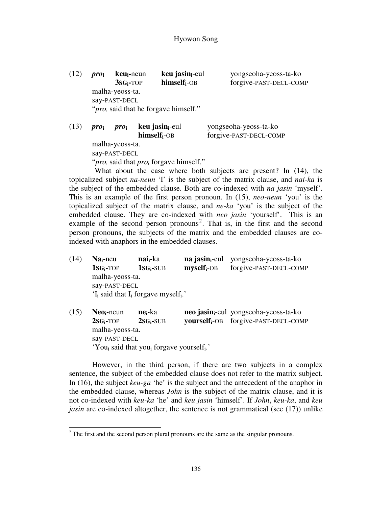(12) *pro***<sup>i</sup> keui-**neun **keu jasini**-eul yongseoha-yeoss-ta-ko **3SGi-**TOP **himselfi**-OB forgive-PAST-DECL-COMP malha-yeoss-ta. say-PAST-DECL "*pro*<sub>i</sub> said that he forgave himself."

(13) *pro***<sup>i</sup>** *pro***<sup>i</sup> keu jasini**-eul yongseoha-yeoss-ta-ko **himselfi**-OB forgive-PAST-DECL-COMP malha-yeoss-ta.

say-PAST-DECL

"*pro*<sub>i</sub> said that *pro*<sub>i</sub> forgave himself."

What about the case where both subjects are present? In (14), the topicalized subject *na-neun* 'I' is the subject of the matrix clause, and *nai-ka* is the subject of the embedded clause. Both are co-indexed with *na jasin* 'myself'. This is an example of the first person pronoun. In (15), *neo-neun* 'you' is the topicalized subject of the matrix clause, and *ne-ka* 'you' is the subject of the embedded clause. They are co-indexed with *neo jasin* 'yourself'. This is an example of the second person pronouns<sup>2</sup>. That is, in the first and the second person pronouns, the subjects of the matrix and the embedded clauses are coindexed with anaphors in the embedded clauses.

(14) **Nai-**neu **naii-**ka **na jasini**-eul yongseoha-yeoss-ta-ko **1SGi-**TOP **1SGi-**SUB **myselfi**-OB forgive-PAST-DECL-COMP malha-yeoss-ta. say-PAST-DECL ' $I_i$  said that  $I_i$  forgave myself<sub>i</sub>.'

(15) **Neoi-**neun **nei-**ka **neo jasini**-eul yongseoha-yeoss-ta-ko **2SGi-**TOP **2SGi-**SUB **yourselfi**-OB forgive-PAST-DECL-COMP malha-yeoss-ta. say-PAST-DECL 'You<sub>i</sub> said that you<sub>i</sub> forgave yourself<sub>i</sub>.'

However, in the third person, if there are two subjects in a complex sentence, the subject of the embedded clause does not refer to the matrix subject. In (16), the subject *keu-ga* 'he' is the subject and the antecedent of the anaphor in the embedded clause, whereas *John* is the subject of the matrix clause, and it is not co-indexed with *keu-ka* 'he' and *keu jasin* 'himself'. If *John*, *keu-ka*, and *keu jasin* are co-indexed altogether, the sentence is not grammatical (see (17)) unlike

<sup>&</sup>lt;sup>2</sup> The first and the second person plural pronouns are the same as the singular pronouns.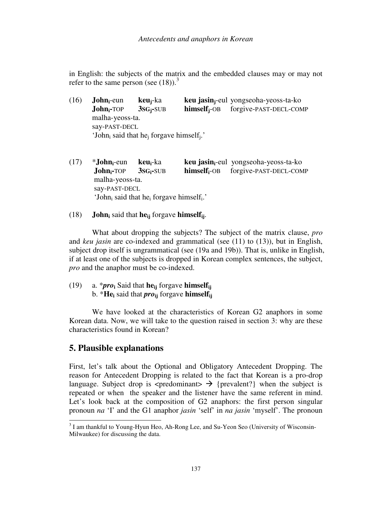in English: the subjects of the matrix and the embedded clauses may or may not refer to the same person (see  $(18)$ ).<sup>3</sup>

- (16) **Johni**-eun **keuj**-ka **keu jasinj**-eul yongseoha-yeoss-ta-ko **Johni-**TOP **3SGj-**SUB **himselfj**-OB forgive-PAST-DECL-COMP malha-yeoss-ta. say-PAST-DECL 'John<sub>i</sub> said that he<sub>j</sub> forgave himself<sub>j</sub>.'
- (17) \***Johni**-eun **keui**-ka **keu jasini**-eul yongseoha-yeoss-ta-ko **Johni-**TOP **3SGi-**SUB **himselfi**-OB forgive-PAST-DECL-COMP malha-yeoss-ta. say-PAST-DECL 'John<sub>i</sub> said that he<sub>i</sub> forgave himself<sub>i</sub>.'
- (18) **John<sup>i</sup>** said that **heij** forgave **himselfij**.

 What about dropping the subjects? The subject of the matrix clause, *pro* and *keu jasin* are co-indexed and grammatical (see (11) to (13)), but in English, subject drop itself is ungrammatical (see (19a and 19b)). That is, unlike in English, if at least one of the subjects is dropped in Korean complex sentences, the subject, *pro* and the anaphor must be co-indexed.

(19) a. \**pro***<sup>i</sup>** Said that **heij** forgave **himselfij** b. \***He<sup>i</sup>** said that *pro***ij** forgave **himselfij**

 We have looked at the characteristics of Korean G2 anaphors in some Korean data. Now, we will take to the question raised in section 3: why are these characteristics found in Korean?

### **5. Plausible explanations**

First, let's talk about the Optional and Obligatory Antecedent Dropping. The reason for Antecedent Dropping is related to the fact that Korean is a pro-drop language. Subject drop is  $\langle$ predominant $\rangle \rightarrow$  {prevalent?} when the subject is repeated or when the speaker and the listener have the same referent in mind. Let's look back at the composition of G2 anaphors: the first person singular pronoun *na* 'I' and the G1 anaphor *jasin* 'self' in *na jasin* 'myself'. The pronoun

<sup>&</sup>lt;sup>3</sup> I am thankful to Young-Hyun Heo, Ah-Rong Lee, and Su-Yeon Seo (University of Wisconsin-Milwaukee) for discussing the data.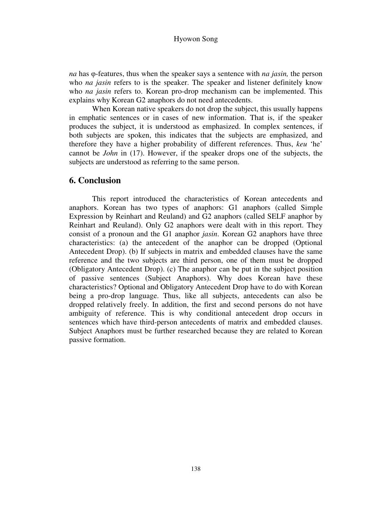*na* has φ-features, thus when the speaker says a sentence with *na jasin,* the person who *na jasin* refers to is the speaker. The speaker and listener definitely know who *na jasin* refers to. Korean pro-drop mechanism can be implemented. This explains why Korean G2 anaphors do not need antecedents.

 When Korean native speakers do not drop the subject, this usually happens in emphatic sentences or in cases of new information. That is, if the speaker produces the subject, it is understood as emphasized. In complex sentences, if both subjects are spoken, this indicates that the subjects are emphasized, and therefore they have a higher probability of different references. Thus, *keu* 'he' cannot be *John* in (17). However, if the speaker drops one of the subjects, the subjects are understood as referring to the same person.

#### **6. Conclusion**

This report introduced the characteristics of Korean antecedents and anaphors. Korean has two types of anaphors: G1 anaphors (called Simple Expression by Reinhart and Reuland) and G2 anaphors (called SELF anaphor by Reinhart and Reuland). Only G2 anaphors were dealt with in this report. They consist of a pronoun and the G1 anaphor *jasin*. Korean G2 anaphors have three characteristics: (a) the antecedent of the anaphor can be dropped (Optional Antecedent Drop). (b) If subjects in matrix and embedded clauses have the same reference and the two subjects are third person, one of them must be dropped (Obligatory Antecedent Drop). (c) The anaphor can be put in the subject position of passive sentences (Subject Anaphors). Why does Korean have these characteristics? Optional and Obligatory Antecedent Drop have to do with Korean being a pro-drop language. Thus, like all subjects, antecedents can also be dropped relatively freely. In addition, the first and second persons do not have ambiguity of reference. This is why conditional antecedent drop occurs in sentences which have third-person antecedents of matrix and embedded clauses. Subject Anaphors must be further researched because they are related to Korean passive formation.